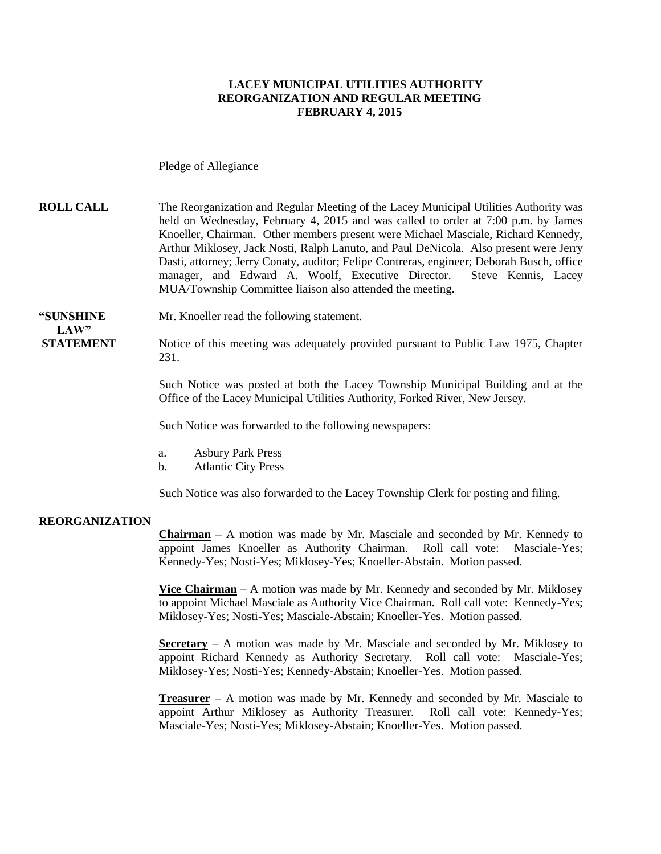#### **LACEY MUNICIPAL UTILITIES AUTHORITY REORGANIZATION AND REGULAR MEETING FEBRUARY 4, 2015**

Pledge of Allegiance

### **ROLL CALL** The Reorganization and Regular Meeting of the Lacey Municipal Utilities Authority was held on Wednesday, February 4, 2015 and was called to order at 7:00 p.m. by James Knoeller, Chairman. Other members present were Michael Masciale, Richard Kennedy, Arthur Miklosey, Jack Nosti, Ralph Lanuto, and Paul DeNicola. Also present were Jerry Dasti, attorney; Jerry Conaty, auditor; Felipe Contreras, engineer; Deborah Busch, office manager, and Edward A. Woolf, Executive Director. Steve Kennis, Lacey MUA/Township Committee liaison also attended the meeting.

**"SUNSHINE** Mr. Knoeller read the following statement.

**STATEMENT** Notice of this meeting was adequately provided pursuant to Public Law 1975, Chapter 231.

> Such Notice was posted at both the Lacey Township Municipal Building and at the Office of the Lacey Municipal Utilities Authority, Forked River, New Jersey.

Such Notice was forwarded to the following newspapers:

- a. Asbury Park Press
- b. Atlantic City Press

Such Notice was also forwarded to the Lacey Township Clerk for posting and filing.

#### **REORGANIZATION**

 $LAW"$ 

**Chairman** – A motion was made by Mr. Masciale and seconded by Mr. Kennedy to appoint James Knoeller as Authority Chairman. Roll call vote: Masciale-Yes; Kennedy-Yes; Nosti-Yes; Miklosey-Yes; Knoeller-Abstain. Motion passed.

**Vice Chairman** – A motion was made by Mr. Kennedy and seconded by Mr. Miklosey to appoint Michael Masciale as Authority Vice Chairman. Roll call vote: Kennedy-Yes; Miklosey-Yes; Nosti-Yes; Masciale-Abstain; Knoeller-Yes. Motion passed.

**Secretary** – A motion was made by Mr. Masciale and seconded by Mr. Miklosey to appoint Richard Kennedy as Authority Secretary. Roll call vote: Masciale-Yes; Miklosey-Yes; Nosti-Yes; Kennedy-Abstain; Knoeller-Yes. Motion passed.

**Treasurer** – A motion was made by Mr. Kennedy and seconded by Mr. Masciale to appoint Arthur Miklosey as Authority Treasurer. Roll call vote: Kennedy-Yes; Masciale-Yes; Nosti-Yes; Miklosey-Abstain; Knoeller-Yes. Motion passed.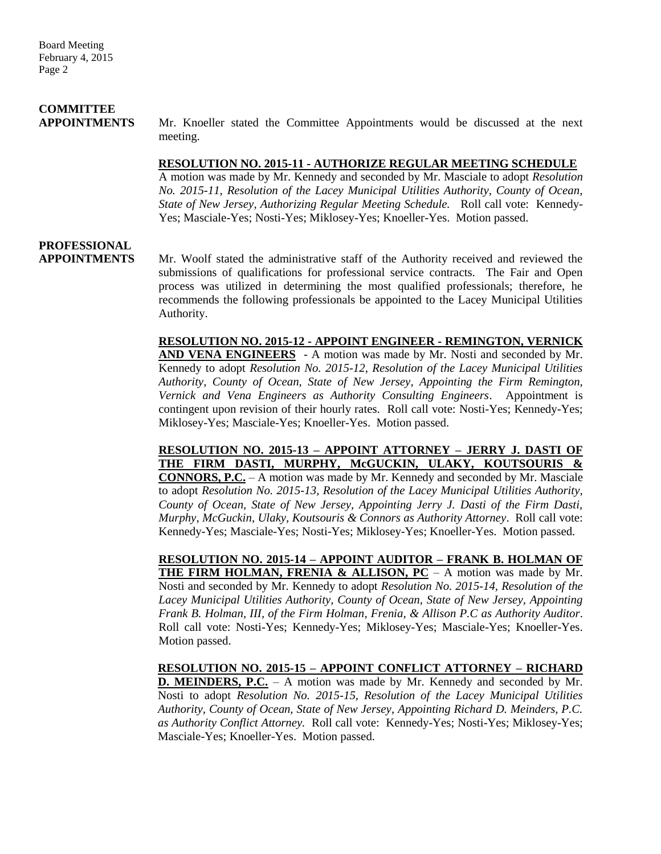# **COMMITTEE**

**APPOINTMENTS**Mr. Knoeller stated the Committee Appointments would be discussed at the next meeting.

### **RESOLUTION NO. 2015-11 - AUTHORIZE REGULAR MEETING SCHEDULE**

A motion was made by Mr. Kennedy and seconded by Mr. Masciale to adopt *Resolution No. 2015-11, Resolution of the Lacey Municipal Utilities Authority, County of Ocean, State of New Jersey*, *Authorizing Regular Meeting Schedule.* Roll call vote: Kennedy-Yes; Masciale-Yes; Nosti-Yes; Miklosey-Yes; Knoeller-Yes. Motion passed.

### **PROFESSIONAL**

**APPOINTMENTS** Mr. Woolf stated the administrative staff of the Authority received and reviewed the submissions of qualifications for professional service contracts. The Fair and Open process was utilized in determining the most qualified professionals; therefore, he recommends the following professionals be appointed to the Lacey Municipal Utilities Authority.

> **RESOLUTION NO. 2015-12 - APPOINT ENGINEER - REMINGTON, VERNICK AND VENA ENGINEERS** - A motion was made by Mr. Nosti and seconded by Mr. Kennedy to adopt *Resolution No. 2015-12, Resolution of the Lacey Municipal Utilities Authority, County of Ocean, State of New Jersey, Appointing the Firm Remington, Vernick and Vena Engineers as Authority Consulting Engineers*. Appointment is contingent upon revision of their hourly rates. Roll call vote: Nosti-Yes; Kennedy-Yes; Miklosey-Yes; Masciale-Yes; Knoeller-Yes. Motion passed.

### **RESOLUTION NO. 2015-13 – APPOINT ATTORNEY – JERRY J. DASTI OF THE FIRM DASTI, MURPHY, McGUCKIN, ULAKY, KOUTSOURIS &**

**CONNORS, P.C.** – A motion was made by Mr. Kennedy and seconded by Mr. Masciale to adopt *Resolution No. 2015-13, Resolution of the Lacey Municipal Utilities Authority, County of Ocean, State of New Jersey, Appointing Jerry J. Dasti of the Firm Dasti, Murphy*, *McGuckin, Ulaky, Koutsouris & Connors as Authority Attorney*. Roll call vote: Kennedy-Yes; Masciale-Yes; Nosti-Yes; Miklosey-Yes; Knoeller-Yes. Motion passed.

**RESOLUTION NO. 2015-14 – APPOINT AUDITOR – FRANK B. HOLMAN OF THE FIRM HOLMAN, FRENIA & ALLISON, PC** – A motion was made by Mr. Nosti and seconded by Mr. Kennedy to adopt *Resolution No. 2015-14, Resolution of the Lacey Municipal Utilities Authority, County of Ocean, State of New Jersey, Appointing Frank B. Holman, III, of the Firm Holman, Frenia, & Allison P.C as Authority Auditor*. Roll call vote: Nosti-Yes; Kennedy-Yes; Miklosey-Yes; Masciale-Yes; Knoeller-Yes. Motion passed.

**RESOLUTION NO. 2015-15 – APPOINT CONFLICT ATTORNEY – RICHARD D. MEINDERS, P.C.** – A motion was made by Mr. Kennedy and seconded by Mr. Nosti to adopt *Resolution No. 2015-15, Resolution of the Lacey Municipal Utilities Authority, County of Ocean, State of New Jersey*, *Appointing Richard D. Meinders, P.C. as Authority Conflict Attorney.* Roll call vote: Kennedy-Yes; Nosti-Yes; Miklosey-Yes; Masciale-Yes; Knoeller-Yes. Motion passed.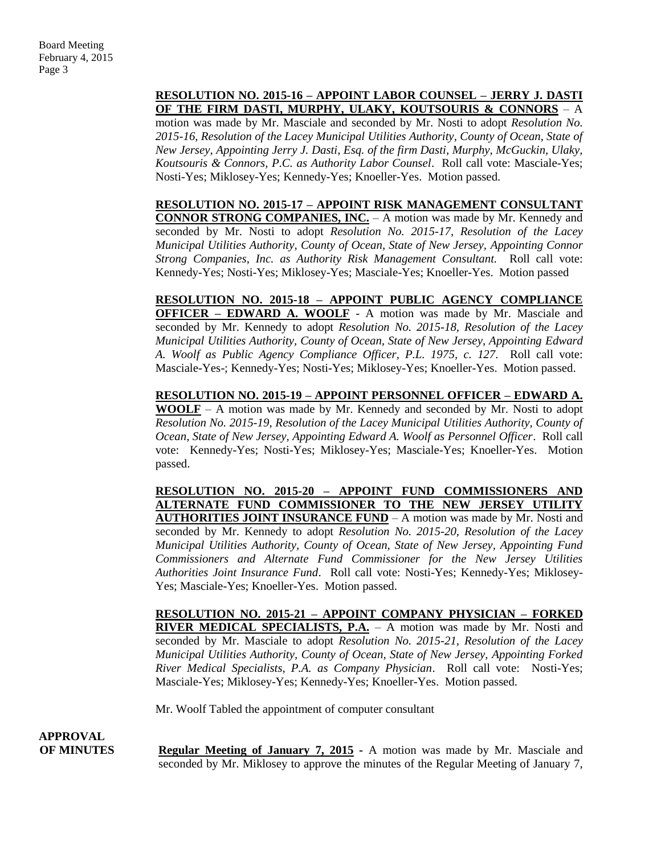### **RESOLUTION NO. 2015-16 – APPOINT LABOR COUNSEL – JERRY J. DASTI OF THE FIRM DASTI, MURPHY, ULAKY, KOUTSOURIS & CONNORS** – A

motion was made by Mr. Masciale and seconded by Mr. Nosti to adopt *Resolution No. 2015-16, Resolution of the Lacey Municipal Utilities Authority, County of Ocean, State of New Jersey, Appointing Jerry J. Dasti, Esq. of the firm Dasti, Murphy, McGuckin, Ulaky, Koutsouris & Connors, P.C. as Authority Labor Counsel*. Roll call vote: Masciale-Yes; Nosti-Yes; Miklosey-Yes; Kennedy-Yes; Knoeller-Yes. Motion passed.

**RESOLUTION NO. 2015-17 – APPOINT RISK MANAGEMENT CONSULTANT CONNOR STRONG COMPANIES, INC.** – A motion was made by Mr. Kennedy and seconded by Mr. Nosti to adopt *Resolution No. 2015-17, Resolution of the Lacey Municipal Utilities Authority, County of Ocean, State of New Jersey, Appointing Connor Strong Companies, Inc. as Authority Risk Management Consultant.* Roll call vote: Kennedy-Yes; Nosti-Yes; Miklosey-Yes; Masciale-Yes; Knoeller-Yes. Motion passed

**RESOLUTION NO. 2015-18 – APPOINT PUBLIC AGENCY COMPLIANCE OFFICER – EDWARD A. WOOLF** - A motion was made by Mr. Masciale and seconded by Mr. Kennedy to adopt *Resolution No. 2015-18, Resolution of the Lacey Municipal Utilities Authority, County of Ocean, State of New Jersey, Appointing Edward A. Woolf as Public Agency Compliance Officer, P.L. 1975, c. 127*. Roll call vote: Masciale-Yes-; Kennedy-Yes; Nosti-Yes; Miklosey-Yes; Knoeller-Yes. Motion passed.

**RESOLUTION NO. 2015-19 – APPOINT PERSONNEL OFFICER – EDWARD A. WOOLF** – A motion was made by Mr. Kennedy and seconded by Mr. Nosti to adopt *Resolution No. 2015-19, Resolution of the Lacey Municipal Utilities Authority, County of Ocean, State of New Jersey, Appointing Edward A. Woolf as Personnel Officer*. Roll call vote: Kennedy-Yes; Nosti-Yes; Miklosey-Yes; Masciale-Yes; Knoeller-Yes. Motion passed.

**RESOLUTION NO. 2015-20 – APPOINT FUND COMMISSIONERS AND ALTERNATE FUND COMMISSIONER TO THE NEW JERSEY UTILITY** AUTHORITIES JOINT INSURANCE FUND - A motion was made by Mr. Nosti and seconded by Mr. Kennedy to adopt *Resolution No. 2015-20, Resolution of the Lacey Municipal Utilities Authority, County of Ocean, State of New Jersey, Appointing Fund Commissioners and Alternate Fund Commissioner for the New Jersey Utilities Authorities Joint Insurance Fund*. Roll call vote: Nosti-Yes; Kennedy-Yes; Miklosey-Yes; Masciale-Yes; Knoeller-Yes. Motion passed.

**RESOLUTION NO. 2015-21 – APPOINT COMPANY PHYSICIAN – FORKED RIVER MEDICAL SPECIALISTS, P.A.** – A motion was made by Mr. Nosti and seconded by Mr. Masciale to adopt *Resolution No. 2015-21, Resolution of the Lacey Municipal Utilities Authority, County of Ocean, State of New Jersey, Appointing Forked River Medical Specialists, P.A. as Company Physician*. Roll call vote: Nosti-Yes; Masciale-Yes; Miklosey-Yes; Kennedy-Yes; Knoeller-Yes. Motion passed.

Mr. Woolf Tabled the appointment of computer consultant

**APPROVAL**

**OF MINUTES Regular Meeting of January 7, 2015 -** A motion was made by Mr. Masciale and seconded by Mr. Miklosey to approve the minutes of the Regular Meeting of January 7,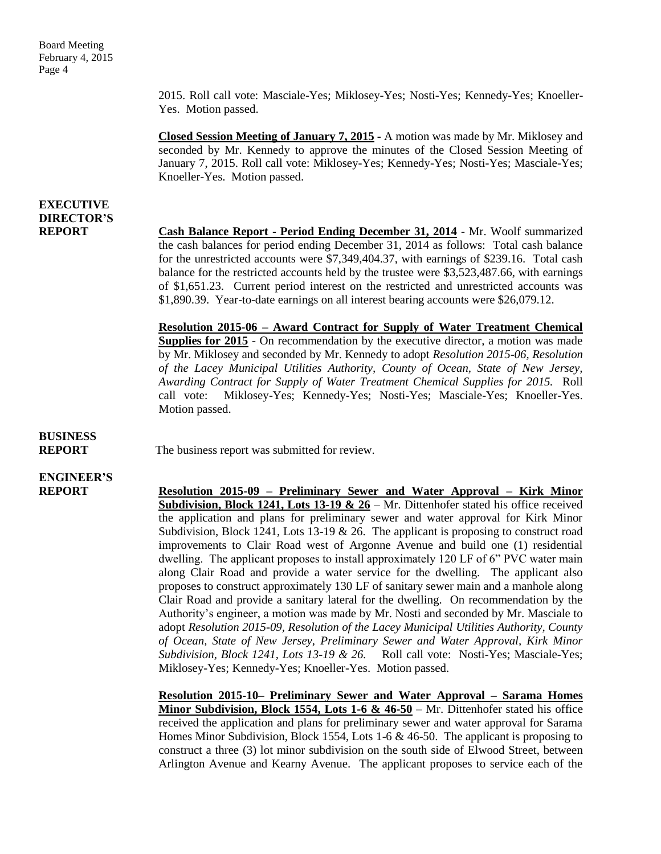2015. Roll call vote: Masciale-Yes; Miklosey-Yes; Nosti-Yes; Kennedy-Yes; Knoeller-Yes. Motion passed.

**Closed Session Meeting of January 7, 2015 -** A motion was made by Mr. Miklosey and seconded by Mr. Kennedy to approve the minutes of the Closed Session Meeting of January 7, 2015. Roll call vote: Miklosey-Yes; Kennedy-Yes; Nosti-Yes; Masciale-Yes; Knoeller-Yes. Motion passed.

### **EXECUTIVE DIRECTOR'S**

**REPORT Cash Balance Report - Period Ending December 31, 2014** - Mr. Woolf summarized the cash balances for period ending December 31, 2014 as follows: Total cash balance for the unrestricted accounts were \$7,349,404.37, with earnings of \$239.16. Total cash balance for the restricted accounts held by the trustee were \$3,523,487.66, with earnings of \$1,651.23. Current period interest on the restricted and unrestricted accounts was \$1,890.39. Year-to-date earnings on all interest bearing accounts were \$26,079.12.

> **Resolution 2015-06 – Award Contract for Supply of Water Treatment Chemical Supplies for 2015** - On recommendation by the executive director, a motion was made by Mr. Miklosey and seconded by Mr. Kennedy to adopt *Resolution 2015-06, Resolution of the Lacey Municipal Utilities Authority, County of Ocean, State of New Jersey, Awarding Contract for Supply of Water Treatment Chemical Supplies for 2015.* Roll call vote: Miklosey-Yes; Kennedy-Yes; Nosti-Yes; Masciale-Yes; Knoeller-Yes. Motion passed.

## **BUSINESS**

**REPORT** The business report was submitted for review.

# **ENGINEER'S**

**REPORT Resolution 2015-09 – Preliminary Sewer and Water Approval – Kirk Minor Subdivision, Block 1241, Lots 13-19 & 26** – Mr. Dittenhofer stated his office received the application and plans for preliminary sewer and water approval for Kirk Minor Subdivision, Block 1241, Lots 13-19  $& 26$ . The applicant is proposing to construct road improvements to Clair Road west of Argonne Avenue and build one (1) residential dwelling. The applicant proposes to install approximately 120 LF of 6" PVC water main along Clair Road and provide a water service for the dwelling. The applicant also proposes to construct approximately 130 LF of sanitary sewer main and a manhole along Clair Road and provide a sanitary lateral for the dwelling. On recommendation by the Authority's engineer, a motion was made by Mr. Nosti and seconded by Mr. Masciale to adopt *Resolution 2015-09, Resolution of the Lacey Municipal Utilities Authority, County of Ocean, State of New Jersey, Preliminary Sewer and Water Approval, Kirk Minor Subdivision, Block 1241, Lots 13-19 & 26.* Roll call vote: Nosti-Yes; Masciale-Yes; Miklosey-Yes; Kennedy-Yes; Knoeller-Yes. Motion passed.

> **Resolution 2015-10– Preliminary Sewer and Water Approval – Sarama Homes Minor Subdivision, Block 1554, Lots 1-6 & 46-50** – Mr. Dittenhofer stated his office received the application and plans for preliminary sewer and water approval for Sarama Homes Minor Subdivision, Block 1554, Lots 1-6 & 46-50. The applicant is proposing to construct a three (3) lot minor subdivision on the south side of Elwood Street, between Arlington Avenue and Kearny Avenue. The applicant proposes to service each of the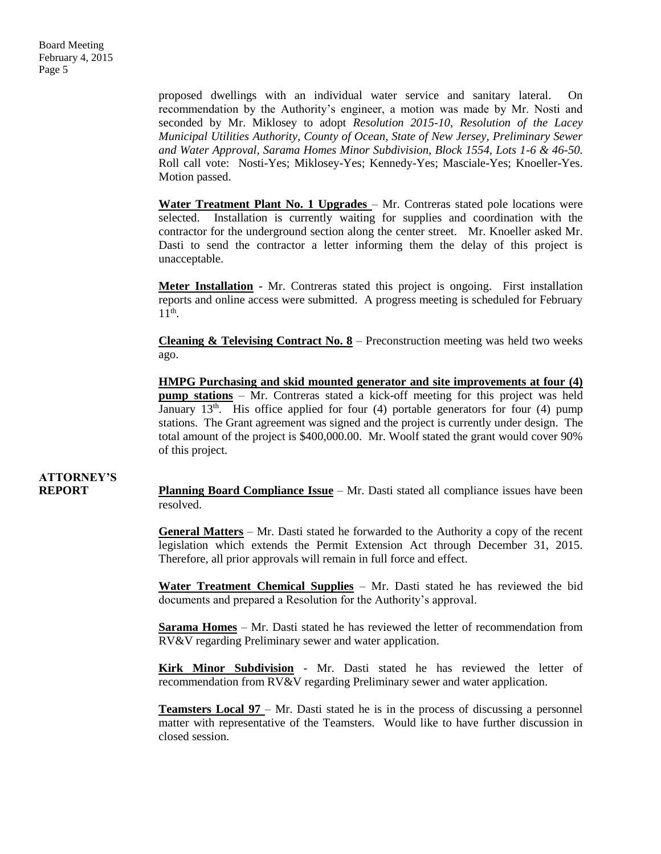proposed dwellings with an individual water service and sanitary lateral. On recommendation by the Authority's engineer, a motion was made by Mr. Nosti and seconded by Mr. Miklosey to adopt *Resolution 2015-10, Resolution of the Lacey Municipal Utilities Authority, County of Ocean, State of New Jersey, Preliminary Sewer and Water Approval, Sarama Homes Minor Subdivision, Block 1554, Lots 1-6 & 46-50.*  Roll call vote: Nosti-Yes; Miklosey-Yes; Kennedy-Yes; Masciale-Yes; Knoeller-Yes. Motion passed.

**Water Treatment Plant No. 1 Upgrades** – Mr. Contreras stated pole locations were selected. Installation is currently waiting for supplies and coordination with the contractor for the underground section along the center street. Mr. Knoeller asked Mr. Dasti to send the contractor a letter informing them the delay of this project is unacceptable.

**Meter Installation** - Mr. Contreras stated this project is ongoing. First installation reports and online access were submitted. A progress meeting is scheduled for February  $11<sup>th</sup>$ .

**Cleaning & Televising Contract No. 8** – Preconstruction meeting was held two weeks ago.

**HMPG Purchasing and skid mounted generator and site improvements at four (4) pump stations** – Mr. Contreras stated a kick-off meeting for this project was held January 13<sup>th</sup>. His office applied for four (4) portable generators for four (4) pump stations. The Grant agreement was signed and the project is currently under design. The total amount of the project is \$400,000.00. Mr. Woolf stated the grant would cover 90% of this project.

### **ATTORNEY'S**

**REPORT Planning Board Compliance Issue** – Mr. Dasti stated all compliance issues have been resolved.

> **General Matters** – Mr. Dasti stated he forwarded to the Authority a copy of the recent legislation which extends the Permit Extension Act through December 31, 2015. Therefore, all prior approvals will remain in full force and effect.

> **Water Treatment Chemical Supplies** – Mr. Dasti stated he has reviewed the bid documents and prepared a Resolution for the Authority's approval.

> **Sarama Homes** – Mr. Dasti stated he has reviewed the letter of recommendation from RV&V regarding Preliminary sewer and water application.

> **Kirk Minor Subdivision** - Mr. Dasti stated he has reviewed the letter of recommendation from RV&V regarding Preliminary sewer and water application.

> **Teamsters Local 97** – Mr. Dasti stated he is in the process of discussing a personnel matter with representative of the Teamsters. Would like to have further discussion in closed session.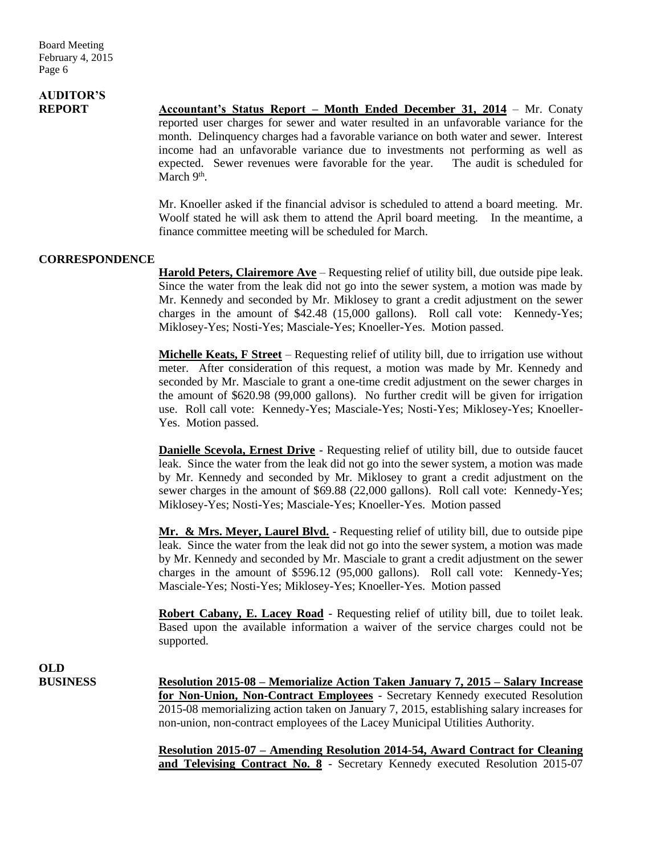# **AUDITOR'S**

**REPORT Accountant's Status Report – Month Ended December 31, 2014** – Mr. Conaty reported user charges for sewer and water resulted in an unfavorable variance for the month. Delinquency charges had a favorable variance on both water and sewer. Interest income had an unfavorable variance due to investments not performing as well as expected. Sewer revenues were favorable for the year. The audit is scheduled for March 9<sup>th</sup>.

> Mr. Knoeller asked if the financial advisor is scheduled to attend a board meeting. Mr. Woolf stated he will ask them to attend the April board meeting. In the meantime, a finance committee meeting will be scheduled for March.

#### **CORRESPONDENCE**

**Harold Peters, Clairemore Ave** – Requesting relief of utility bill, due outside pipe leak. Since the water from the leak did not go into the sewer system, a motion was made by Mr. Kennedy and seconded by Mr. Miklosey to grant a credit adjustment on the sewer charges in the amount of \$42.48 (15,000 gallons). Roll call vote: Kennedy-Yes; Miklosey-Yes; Nosti-Yes; Masciale-Yes; Knoeller-Yes. Motion passed.

**Michelle Keats, F Street** – Requesting relief of utility bill, due to irrigation use without meter. After consideration of this request, a motion was made by Mr. Kennedy and seconded by Mr. Masciale to grant a one-time credit adjustment on the sewer charges in the amount of \$620.98 (99,000 gallons). No further credit will be given for irrigation use. Roll call vote: Kennedy-Yes; Masciale-Yes; Nosti-Yes; Miklosey-Yes; Knoeller-Yes. Motion passed.

**Danielle Scevola, Ernest Drive** - Requesting relief of utility bill, due to outside faucet leak. Since the water from the leak did not go into the sewer system, a motion was made by Mr. Kennedy and seconded by Mr. Miklosey to grant a credit adjustment on the sewer charges in the amount of \$69.88 (22,000 gallons). Roll call vote: Kennedy-Yes; Miklosey-Yes; Nosti-Yes; Masciale-Yes; Knoeller-Yes. Motion passed

**Mr. & Mrs. Meyer, Laurel Blvd.** - Requesting relief of utility bill, due to outside pipe leak. Since the water from the leak did not go into the sewer system, a motion was made by Mr. Kennedy and seconded by Mr. Masciale to grant a credit adjustment on the sewer charges in the amount of \$596.12 (95,000 gallons). Roll call vote: Kennedy-Yes; Masciale-Yes; Nosti-Yes; Miklosey-Yes; Knoeller-Yes. Motion passed

**Robert Cabany, E. Lacey Road** - Requesting relief of utility bill, due to toilet leak. Based upon the available information a waiver of the service charges could not be supported.

**OLD**

**BUSINESS Resolution 2015-08 – Memorialize Action Taken January 7, 2015 – Salary Increase for Non-Union, Non-Contract Employees** - Secretary Kennedy executed Resolution 2015-08 memorializing action taken on January 7, 2015, establishing salary increases for non-union, non-contract employees of the Lacey Municipal Utilities Authority.

> **Resolution 2015-07 – Amending Resolution 2014-54, Award Contract for Cleaning and Televising Contract No. 8** - Secretary Kennedy executed Resolution 2015-07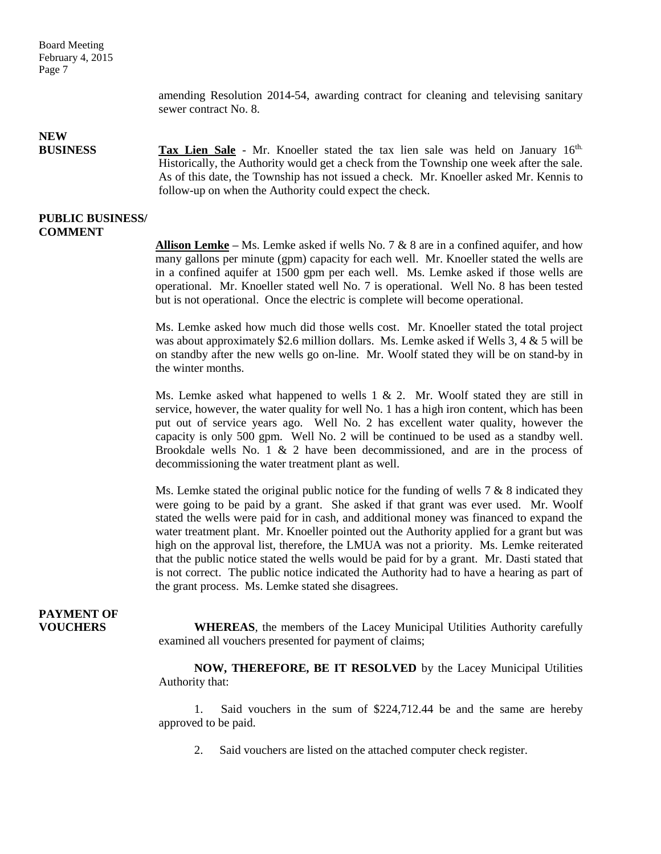Board Meeting February 4, 2015 Page 7

> amending Resolution 2014-54, awarding contract for cleaning and televising sanitary sewer contract No. 8.

### **NEW**

**BUSINESS Tax Lien Sale** - Mr. Knoeller stated the tax lien sale was held on January 16<sup>th.</sup> Historically, the Authority would get a check from the Township one week after the sale. As of this date, the Township has not issued a check. Mr. Knoeller asked Mr. Kennis to follow-up on when the Authority could expect the check.

#### **PUBLIC BUSINESS/ COMMENT**

**Allison Lemke –** Ms. Lemke asked if wells No. 7 & 8 are in a confined aquifer, and how many gallons per minute (gpm) capacity for each well. Mr. Knoeller stated the wells are in a confined aquifer at 1500 gpm per each well. Ms. Lemke asked if those wells are operational. Mr. Knoeller stated well No. 7 is operational. Well No. 8 has been tested but is not operational. Once the electric is complete will become operational.

Ms. Lemke asked how much did those wells cost. Mr. Knoeller stated the total project was about approximately \$2.6 million dollars. Ms. Lemke asked if Wells 3, 4  $&$  5 will be on standby after the new wells go on-line. Mr. Woolf stated they will be on stand-by in the winter months.

Ms. Lemke asked what happened to wells  $1 \& 2$ . Mr. Woolf stated they are still in service, however, the water quality for well No. 1 has a high iron content, which has been put out of service years ago. Well No. 2 has excellent water quality, however the capacity is only 500 gpm. Well No. 2 will be continued to be used as a standby well. Brookdale wells No. 1 & 2 have been decommissioned, and are in the process of decommissioning the water treatment plant as well.

Ms. Lemke stated the original public notice for the funding of wells  $7 \& 8$  indicated they were going to be paid by a grant. She asked if that grant was ever used. Mr. Woolf stated the wells were paid for in cash, and additional money was financed to expand the water treatment plant. Mr. Knoeller pointed out the Authority applied for a grant but was high on the approval list, therefore, the LMUA was not a priority. Ms. Lemke reiterated that the public notice stated the wells would be paid for by a grant. Mr. Dasti stated that is not correct. The public notice indicated the Authority had to have a hearing as part of the grant process. Ms. Lemke stated she disagrees.

## **PAYMENT OF**

**VOUCHERS WHEREAS**, the members of the Lacey Municipal Utilities Authority carefully examined all vouchers presented for payment of claims;

> **NOW, THEREFORE, BE IT RESOLVED** by the Lacey Municipal Utilities Authority that:

> 1. Said vouchers in the sum of \$224,712.44 be and the same are hereby approved to be paid.

2. Said vouchers are listed on the attached computer check register.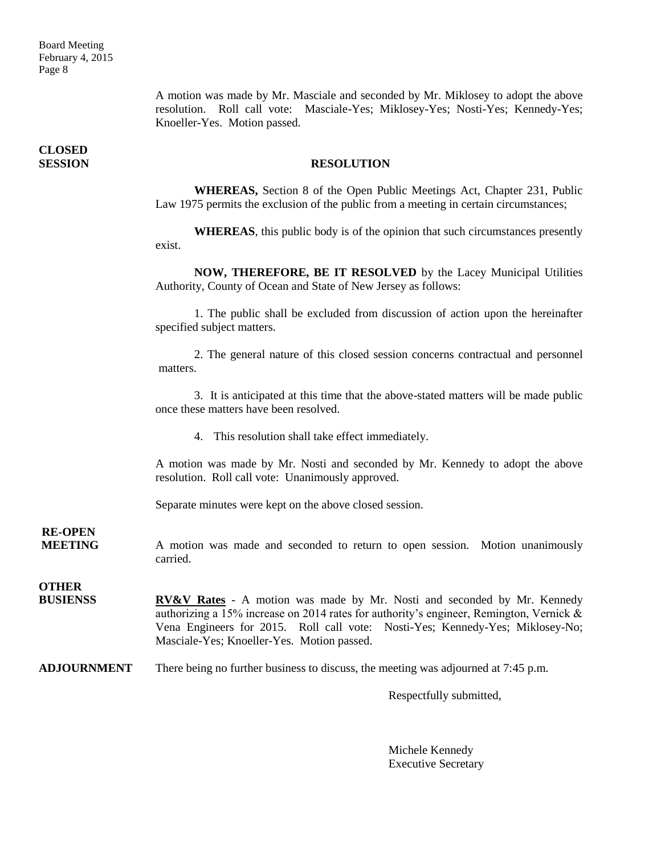Board Meeting February 4, 2015 Page 8

> A motion was made by Mr. Masciale and seconded by Mr. Miklosey to adopt the above resolution. Roll call vote: Masciale-Yes; Miklosey-Yes; Nosti-Yes; Kennedy-Yes; Knoeller-Yes. Motion passed.

**CLOSED** 

#### **SESSION RESOLUTION**

**WHEREAS,** Section 8 of the Open Public Meetings Act, Chapter 231, Public Law 1975 permits the exclusion of the public from a meeting in certain circumstances;

**WHEREAS**, this public body is of the opinion that such circumstances presently exist.

**NOW, THEREFORE, BE IT RESOLVED** by the Lacey Municipal Utilities Authority, County of Ocean and State of New Jersey as follows:

1. The public shall be excluded from discussion of action upon the hereinafter specified subject matters.

2. The general nature of this closed session concerns contractual and personnel matters.

3. It is anticipated at this time that the above-stated matters will be made public once these matters have been resolved.

4. This resolution shall take effect immediately.

A motion was made by Mr. Nosti and seconded by Mr. Kennedy to adopt the above resolution. Roll call vote: Unanimously approved.

Separate minutes were kept on the above closed session.

**RE-OPEN**

**MEETING** A motion was made and seconded to return to open session. Motion unanimously carried.

**OTHER**

**BUSIENSS RV&V Rates** - A motion was made by Mr. Nosti and seconded by Mr. Kennedy authorizing a 15% increase on 2014 rates for authority's engineer, Remington, Vernick & Vena Engineers for 2015. Roll call vote: Nosti-Yes; Kennedy-Yes; Miklosey-No; Masciale-Yes; Knoeller-Yes. Motion passed.

**ADJOURNMENT** There being no further business to discuss, the meeting was adjourned at 7:45 p.m.

Respectfully submitted,

Michele Kennedy Executive Secretary